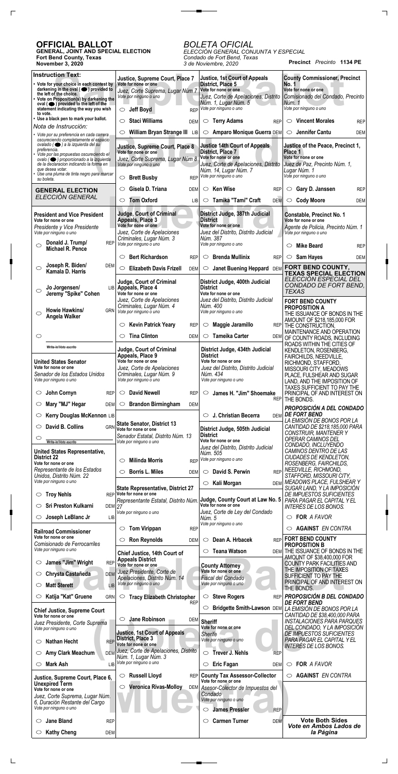**Precinct** *Precinto* **1134 PE**

## **OFFICIAL BALLOT**

 $\Gamma$ 

 $\Box$ 

**GENERAL, JOINT AND SPECIAL ELECTION Fort Bend County, Texas November 3, 2020**

## *BOLETA OFICIAL*

 $\overline{\phantom{a}}$  and  $\overline{\phantom{a}}$ 

*ELECCIÓN GENERAL CONJUNTA Y ESPECIAL Condado de Fort Bend, Texas 3 de Noviembre, 2020*

| <b>Instruction Text:</b>                                                                                                | Justice, Supreme Court, Place 7                                  | <b>Justice, 1st Court of Appeals</b>                             | <b>County Commissioner, Precinct</b>                               |
|-------------------------------------------------------------------------------------------------------------------------|------------------------------------------------------------------|------------------------------------------------------------------|--------------------------------------------------------------------|
| • Vote for your choice in each contest by<br>darkening in the oval ( $\bigcirc$ ) provided to                           | Vote for none or one<br>Juez, Corte Suprema, Lugar Núm 7         | District, Place 5<br>Vote for none or one                        | No. 1<br>Vote for none or one                                      |
| the left of the choice.<br>• Vote on Proposition(s) by darkening the                                                    | Vote por ninguno o uno                                           | Juez, Corte de Apelaciones, Distrito                             | Comisionado del Condado, Precinto                                  |
| $oval($ $)$ provided to the left of the<br>statement indicating the way you wish                                        | <b>Jeff Boyd</b><br><b>REP</b><br>$\circ$                        | Núm. 1, Lugar Núm. 5<br>Vote por ninguno o uno                   | Núm. 1<br>Vote por ninguno o uno                                   |
| to vote.<br>• Use a black pen to mark your ballot.                                                                      | <b>Staci Williams</b><br>$\circlearrowright$<br><b>DEM</b>       | <b>Terry Adams</b><br>$\circ$<br><b>REP</b>                      | <b>Vincent Morales</b><br>$\circ$<br><b>REP</b>                    |
| Nota de Instrucción:                                                                                                    | William Bryan Strange III LIB<br>$\circlearrowright$             | Amparo Monique Guerra DEM<br>$\circ$                             | Jennifer Cantu<br>$\circ$<br><b>DEM</b>                            |
| • Vote por su preferencia en cada carrera<br>oscureciendo completamente el espacio<br>ovalado ( ) a la izquierda del su |                                                                  |                                                                  |                                                                    |
| preferencia.<br>Vote por las propuestas oscureciendo el                                                                 | Justice, Supreme Court, Place 8<br>Vote for none or one          | <b>Justice 14th Court of Appeals</b><br><b>District, Place 7</b> | Justice of the Peace, Precinct 1,<br>Place 1                       |
| ovalo (● ) proporcionado a la izquierda<br>de la declaracion indicando la forma en                                      | Juez, Corte Suprema, Lugar Núm 8<br>Vote por ninguno o uno       | Vote for none or one<br>Juez, Corte de Apelaciones, Distrito     | Vote for none or one<br>Juez de Paz, Precinto Núm. 1,              |
| que desea votar.<br>Use una pluma de tinta negro para marcar                                                            |                                                                  | Núm. 14, Lugar Núm. 7<br>Vote por ninguno o uno                  | Lugar Núm. 1<br>Vote por ninguno o uno                             |
| su boleta.                                                                                                              | <b>Brett Busby</b><br>$\circlearrowright$<br><b>REP</b>          |                                                                  |                                                                    |
| <b>GENERAL ELECTION</b><br>ELECCIÓN GENERAL                                                                             | Gisela D. Triana<br>$\circlearrowright$<br><b>DEM</b>            | <b>Ken Wise</b><br>$\circ$<br><b>REP</b>                         | Gary D. Janssen<br>$\circlearrowright$<br><b>REP</b>               |
|                                                                                                                         | <b>Tom Oxford</b><br>$\circlearrowright$<br>LIB                  | Tamika "Tami" Craft<br><b>DEM</b><br>$\circ$                     | <b>Cody Moore</b><br>$\circ$<br>DEM                                |
| <b>President and Vice President</b><br>Vote for none or one                                                             | <b>Judge, Court of Criminal</b><br>Appeals, Place 3              | District Judge, 387th Judicial<br><b>District</b>                | Constable, Precinct No. 1<br>Vote for none or one                  |
| Presidente y Vice Presidente                                                                                            | Vote for none or one                                             | Vote for none or one                                             | Agente de Policia, Precinto Núm. 1                                 |
| Vote por ninguno o uno                                                                                                  | Juez, Corte de Apelaciones<br>Criminales, Lugar Núm. 3           | Juez del Distrito, Distrito Judicial<br>Núm. 387                 | Vote por ninguno o uno                                             |
| Donald J. Trump/<br><b>REP</b><br>$\bigcirc$<br>Michael R. Pence                                                        | Vote por ninguno o uno                                           | Vote por ninguno o uno                                           | <b>Mike Beard</b><br>◯<br><b>REP</b>                               |
|                                                                                                                         | <b>Bert Richardson</b><br>$\circlearrowright$<br><b>REP</b>      | <b>Brenda Mullinix</b><br>$\circ$<br><b>REP</b>                  | <b>Sam Hayes</b><br>$\circ$<br><b>DEM</b>                          |
| Joseph R. Biden/<br><b>DEM</b><br>O<br>Kamala D. Harris                                                                 | <b>Elizabeth Davis Frizell</b><br>$\circ$<br><b>DEM</b>          | Janet Buening Heppard DEM<br>$\circ$                             | FORT BEND COUNTY,<br><b>TEXAS SPECIAL ELECTION</b>                 |
|                                                                                                                         | Judge, Court of Criminal                                         | District Judge, 400th Judicial                                   | ELECCIÓN ESPECIAL DEL                                              |
| Jo Jorgensen/<br>$\circ$<br>Jeremy "Spike" Cohen                                                                        | LIB Appeals, Place 4<br>Vote for none or one                     | <b>District</b><br>Vote for none or one                          | CONDADO DE FORT BEND,<br><b>TEXAS</b>                              |
|                                                                                                                         | Juez, Corte de Apelaciones<br>Criminales, Lugar Núm. 4           | Juez del Distrito, Distrito Judicial<br>Núm. 400                 | <b>FORT BEND COUNTY</b>                                            |
| Howie Hawkins/<br><b>GRN</b><br>◯<br>Angela Walker                                                                      | Vote por ninguno o uno                                           | Vote por ninguno o uno                                           | <b>PROPOSITION A</b><br>THE ISSUANCE OF BONDS IN THE               |
|                                                                                                                         | <b>Kevin Patrick Yeary</b><br>$\circlearrowright$<br><b>REP</b>  | Maggie Jaramillo<br>$\circ$                                      | AMOUNT OF \$218,185,000 FOR<br>REP THE CONSTRUCTION,               |
| $\circ$                                                                                                                 | <b>Tina Clinton</b><br>$\circlearrowright$<br><b>DEM</b>         | <b>Tameika Carter</b><br>$\circlearrowright$<br><b>DEM</b>       | MAINTENANCE AND OPERATION<br>OF COUNTY ROADS, INCLUDING            |
| Write-in/Voto escrito                                                                                                   | <b>Judge, Court of Criminal</b>                                  |                                                                  | ROADS WITHIN THE CITIES OF                                         |
|                                                                                                                         | Appeals, Place 9                                                 | District Judge, 434th Judicial<br><b>District</b>                | KENDLETON, ROSENBERG,<br>FAIRCHILDS, NEEDVILLE,                    |
| <b>United States Senator</b><br>Vote for none or one                                                                    | Vote for none or one<br>Juez, Corte de Apelaciones               | Vote for none or one<br>Juez del Distrito, Distrito Judicial     | RICHMOND, STAFFORD,<br>MISSOURI CITY, MEADOWS                      |
| Senador de los Estados Unidos<br>Vote por ninguno o uno                                                                 | Criminales, Lugar Núm. 9<br>Vote por ninguno o uno               | Núm. 434<br>Vote por ninguno o uno                               | PLACE, FULSHEAR AND SUGAR<br>LAND, AND THE IMPOSITION OF           |
| John Cornyn<br>$\circlearrowright$                                                                                      | <b>David Newell</b><br>$\circ$                                   | James H. "Jim" Shoemake<br>O                                     | TAXES SUFFICIENT TO PAY THE                                        |
| <b>REP</b>                                                                                                              | <b>REP</b>                                                       | <b>REP</b>                                                       | PRINCIPAL OF AND INTEREST ON<br>THE BONDS.                         |
| Mary "MJ" Hegar<br>O<br><b>DEM</b>                                                                                      | <b>Brandon Birmingham</b><br>$\circ$<br><b>DEM</b>               |                                                                  | <b>PROPOSICIÓN A DEL CONDADO</b><br><b>DE FORT BEND</b>            |
| Kerry Douglas McKennon LIB<br>O                                                                                         | <b>State Senator, District 13</b>                                | J. Christian Becerra<br>$\circ$<br><b>DEM</b>                    | LA EMISIÓN DE BONOS POR LA                                         |
| David B. Collins<br>$\circ$<br><b>GRN</b>                                                                               | Vote for none or one<br>Senador Estatal, Distrito Núm. 13        | District Judge, 505th Judicial<br><b>District</b>                | CANTIDAD DE \$218,185,000 PARA<br><b>CONSTRUIR, MANTENER Y</b>     |
| O<br>Write-in/Voto escrito                                                                                              | Vote por ninguno o uno                                           | Vote for none or one                                             | OPERAR CAMINOS DEL<br>CONDADO, INCLUYENDO                          |
| <b>United States Representative,</b><br><b>District 22</b>                                                              |                                                                  | Juez del Distrito, Distrito Judicial<br>Núm. 505                 | CAMINOS DENTRO DE LAS<br>CIUDADES DE KENDLETON,                    |
| Vote for none or one                                                                                                    | <b>Milinda Morris</b><br><b>REP</b><br>$\circlearrowright$       | Vote por ninguno o uno                                           | ROSENBERG, FAIRCHILDS,                                             |
| Representante de los Estados<br>Unidos, Distrito Núm. 22                                                                | <b>Borris L. Miles</b><br>$\circlearrowright$<br><b>DEM</b>      | David S. Perwin<br><b>REP</b><br>$\circ$                         | NEEDVILLE, RICHMOND,<br>STAFFORD, MISSOURI CITY,                   |
| Vote por ninguno o uno                                                                                                  | <b>State Representative, District 27</b>                         | Kali Morgan<br>$\circ$<br><b>DEM</b>                             | <b>MEADOWS PLACE, FULSHEAR Y</b><br>SUGAR LAND, Y LA IMPOSICIÓN    |
| <b>Troy Nehls</b><br>O                                                                                                  | REP Vote for none or one<br>Representante Estatal, Distrito Núm. | Judge, County Court at Law No. 5                                 | DE IMPUESTOS SUFICIENTES<br>PARA PAGAR EL CAPITAL Y EL             |
| <b>Sri Preston Kulkarni</b><br>◯<br>DEM 27                                                                              | Vote por ninguno o uno                                           | Vote for none or one<br>Juez, Corte de Ley del Condado           | INTERÉS DE LOS BONOS.                                              |
| Joseph LeBlanc Jr<br>$\circlearrowright$<br>LIB                                                                         |                                                                  | Núm. 5                                                           | O FOR A FAVOR                                                      |
| <b>Railroad Commissioner</b>                                                                                            | <b>Tom Virippan</b><br><b>REP</b><br>O                           | Vote por ninguno o uno                                           | <b>AGAINST EN CONTRA</b>                                           |
| Vote for none or one<br>Comisionado de Ferrocarriles                                                                    | <b>Ron Reynolds</b><br>$\circlearrowright$<br><b>DEM</b>         | Dean A. Hrbacek<br>$\circ$<br><b>REP</b>                         | <b>FORT BEND COUNTY</b><br><b>PROPOSITION B</b>                    |
| Vote por ninguno o uno                                                                                                  | Chief Justice, 14th Court of                                     | <b>Teana Watson</b><br>$\circ$<br>DEM                            | THE ISSUANCE OF BONDS IN THE                                       |
| James "Jim" Wright<br><b>REP</b><br>O                                                                                   | <b>Appeals District</b><br>Vote for none or one                  | <b>County Attorney</b>                                           | AMOUNT OF \$38,400,000 FOR<br><b>COUNTY PARK FACILITIES AND</b>    |
| Chrysta Castañeda<br>O<br><b>DEM</b>                                                                                    | Juez Presidente, Corte de<br>Apelaciones, Distrito Núm. 14       | Vote for none or one<br>Fiscal del Condado                       | THE IMPOSITION OF TAXES<br>SUFFICIENT TO PAY THE                   |
| <b>Matt Sterett</b><br>O<br><b>LIB</b>                                                                                  | Vote por ninguno o uno                                           | Vote por ninguno o uno                                           | PRINCIPAL OF AND INTEREST ON<br>THE BONDS.                         |
| Katija "Kat" Gruene<br><b>GRN</b><br>O                                                                                  | <b>Tracy Elizabeth Christopher</b><br>$\circ$                    | <b>Steve Rogers</b><br>$\circlearrowright$<br><b>REP</b>         | <b>PROPOSICIÓN B DEL CONDADO</b>                                   |
| <b>Chief Justice, Supreme Court</b>                                                                                     | <b>REP</b>                                                       | $\circlearrowright$<br>Bridgette Smith-Lawson DEM                | <b>DE FORT BEND</b><br>LA EMISIÓN DE BONOS POR LA                  |
| Vote for none or one<br>Juez Presidente, Corte Suprema                                                                  | <b>Jane Robinson</b><br>$\circ$                                  | DEM Sheriff                                                      | CANTIDAD DE \$38,400,000 PARA<br><b>INSTALACIONES PARA PARQUES</b> |
| Vote por ninguno o uno                                                                                                  | <b>Justice, 1st Court of Appeals</b>                             | Vote for none or one                                             | DEL CONDADO, Y LA IMPOSICIÓN<br>DE IMPUESTOS SUFICIENTES           |
| <b>Nathan Hecht</b><br><b>REP</b><br>O                                                                                  | District, Place 3<br>Vote for none or one                        | Sherife<br>Vote por ninguno o uno                                | PARA PAGAR EL CAPITAL Y EL                                         |
| Amy Clark Meachum<br><b>DEM</b><br>O                                                                                    | Juez, Corte de Apelaciones, Distrito                             | <b>Trever J. Nehls</b><br>$\circ$<br><b>REP</b>                  | INTERÉS DE LOS BONOS.                                              |
| Mark Ash<br>O<br><b>LIB</b>                                                                                             | Núm. 1, Lugar Núm. 3<br>Vote por ninguno o uno                   | <b>Eric Fagan</b><br>$\circ$<br>DEM                              | O FOR A FAVOR                                                      |
|                                                                                                                         | $\circ$ Russell Lloyd                                            | REP County Tax Assessor-Collector                                | <b>AGAINST EN CONTRA</b><br>O                                      |
| Justice, Supreme Court, Place 6,<br><b>Unexpired Term</b>                                                               | <b>Veronica Rivas-Molloy</b><br>$\circ$                          | Vote for none or one<br>DEM Asesor-Colector de Impuestos del     |                                                                    |
| Vote for none or one<br>Juez, Corte Suprema, Lugar Núm.                                                                 |                                                                  | Condado                                                          |                                                                    |
| 6, Duración Restante del Cargo<br>Vote por ninguno o uno                                                                |                                                                  | Vote por ninguno o uno                                           |                                                                    |
|                                                                                                                         |                                                                  | <b>James Pressler</b><br><b>REP</b><br>O                         | <b>Vote Both Sides</b>                                             |
| <b>Jane Bland</b><br><b>REP</b><br>O                                                                                    |                                                                  | <b>Carmen Turner</b><br>O<br><b>DEM</b>                          | Vote en Ambos Lados de                                             |
| <b>Kathy Cheng</b><br><b>DEM</b><br>O                                                                                   |                                                                  |                                                                  | la Página                                                          |

 $\Box$